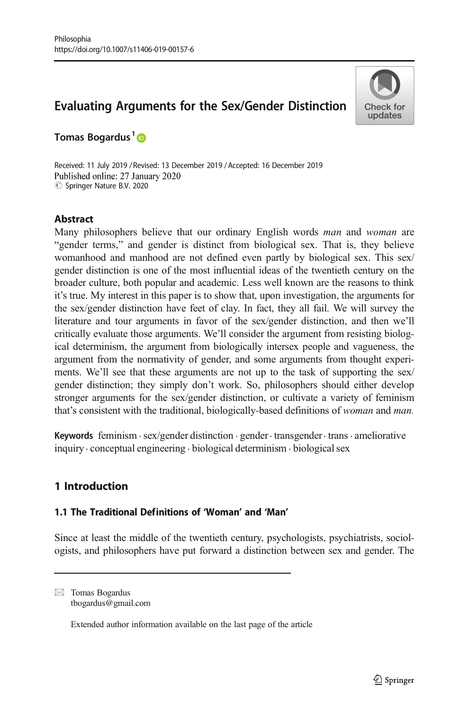# Evaluating Arguments for the Sex/Gender Distinction



Tomas Bogardus<sup>1</sup><sub>®</sub>

Received: 11 July 2019 / Revised: 13 December 2019 / Accepted: 16 December 2019 Published online: 27 January 2020  $\circledcirc$  Springer Nature B.V. 2020

# Abstract

Many philosophers believe that our ordinary English words man and woman are "gender terms," and gender is distinct from biological sex. That is, they believe womanhood and manhood are not defined even partly by biological sex. This sex/ gender distinction is one of the most influential ideas of the twentieth century on the broader culture, both popular and academic. Less well known are the reasons to think it's true. My interest in this paper is to show that, upon investigation, the arguments for the sex/gender distinction have feet of clay. In fact, they all fail. We will survey the literature and tour arguments in favor of the sex/gender distinction, and then we'll critically evaluate those arguments. We'll consider the argument from resisting biological determinism, the argument from biologically intersex people and vagueness, the argument from the normativity of gender, and some arguments from thought experiments. We'll see that these arguments are not up to the task of supporting the sex/ gender distinction; they simply don't work. So, philosophers should either develop stronger arguments for the sex/gender distinction, or cultivate a variety of feminism that's consistent with the traditional, biologically-based definitions of woman and man.

Keywords feminism  $\cdot$  sex/gender distinction  $\cdot$  gender $\cdot$  transgender $\cdot$  trans. ameliorative inquiry. conceptual engineering . biological determinism . biological sex

# 1 Introduction

## 1.1 The Traditional Definitions of 'Woman' and 'Man'

Since at least the middle of the twentieth century, psychologists, psychiatrists, sociologists, and philosophers have put forward a distinction between sex and gender. The

 $\boxtimes$  Tomas Bogardus [tbogardus@gmail.com](mailto:tbogardus@gmail.com)

Extended author information available on the last page of the article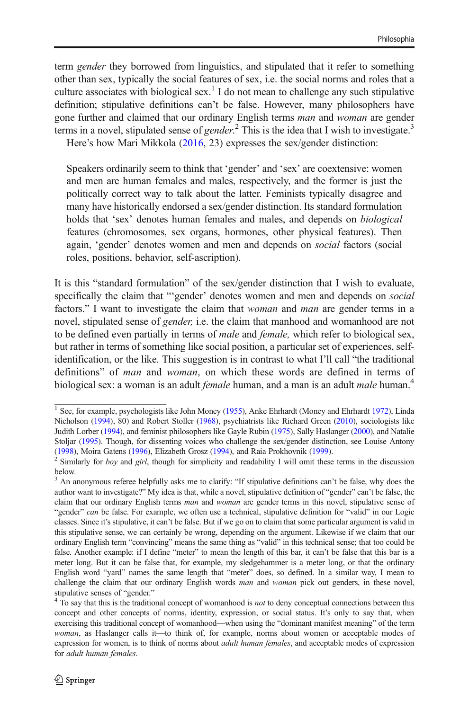term *gender* they borrowed from linguistics, and stipulated that it refer to something other than sex, typically the social features of sex, i.e. the social norms and roles that a culture associates with biological sex.<sup>1</sup> I do not mean to challenge any such stipulative definition; stipulative definitions can't be false. However, many philosophers have gone further and claimed that our ordinary English terms man and woman are gender terms in a novel, stipulated sense of gender.<sup>2</sup> This is the idea that I wish to investigate.<sup>3</sup> Here's how Mari Mikkola [\(2016,](#page-18-0) 23) expresses the sex/gender distinction:

Speakers ordinarily seem to think that 'gender' and 'sex' are coextensive: women and men are human females and males, respectively, and the former is just the politically correct way to talk about the latter. Feminists typically disagree and many have historically endorsed a sex/gender distinction. Its standard formulation holds that 'sex' denotes human females and males, and depends on biological features (chromosomes, sex organs, hormones, other physical features). Then again, 'gender' denotes women and men and depends on social factors (social roles, positions, behavior, self-ascription).

It is this "standard formulation" of the sex/gender distinction that I wish to evaluate, specifically the claim that "'gender' denotes women and men and depends on social factors." I want to investigate the claim that *woman* and *man* are gender terms in a novel, stipulated sense of *gender*, i.e. the claim that manhood and womanhood are not to be defined even partially in terms of *male* and *female*, which refer to biological sex, but rather in terms of something like social position, a particular set of experiences, selfidentification, or the like. This suggestion is in contrast to what I'll call "the traditional definitions" of *man* and *woman*, on which these words are defined in terms of biological sex: a woman is an adult *female* human, and a man is an adult *male* human.<sup>4</sup>

<sup>&</sup>lt;sup>1</sup> See, for example, psychologists like John Money [\(1955\)](#page-18-0), Anke Ehrhardt (Money and Ehrhardt [1972](#page-18-0)), Linda Nicholson ([1994](#page-19-0)), 80) and Robert Stoller ([1968](#page-19-0)), psychiatrists like Richard Green [\(2010\)](#page-18-0), sociologists like Judith Lorber ([1994](#page-18-0)), and feminist philosophers like Gayle Rubin ([1975](#page-19-0)), Sally Haslanger [\(2000\)](#page-18-0), and Natalie Stoljar [\(1995\)](#page-19-0). Though, for dissenting voices who challenge the sex/gender distinction, see Louise Antony

<sup>(</sup>[1998\)](#page-18-0), Moira Gatens [\(1996](#page-18-0)), Elizabeth Grosz [\(1994\)](#page-18-0), and Raia Prokhovnik [\(1999\)](#page-19-0). <sup>2</sup> Similarly for *boy* and *girl*, though for simplicity and readability I will omit these terms in the discussion below.

<sup>&</sup>lt;sup>3</sup> An anonymous referee helpfully asks me to clarify: "If stipulative definitions can't be false, why does the author want to investigate?" My idea is that, while a novel, stipulative definition of "gender" can't be false, the claim that our ordinary English terms man and woman are gender terms in this novel, stipulative sense of "gender" can be false. For example, we often use a technical, stipulative definition for "valid" in our Logic classes. Since it's stipulative, it can't be false. But if we go on to claim that some particular argument is valid in this stipulative sense, we can certainly be wrong, depending on the argument. Likewise if we claim that our ordinary English term "convincing" means the same thing as "valid" in this technical sense; that too could be false. Another example: if I define "meter" to mean the length of this bar, it can't be false that this bar is a meter long. But it can be false that, for example, my sledgehammer is a meter long, or that the ordinary English word "yard" names the same length that "meter" does, so defined. In a similar way, I mean to challenge the claim that our ordinary English words man and woman pick out genders, in these novel,

stipulative senses of "gender."  $\frac{4}{10}$  To say that this is the traditional concept of womanhood is *not* to deny conceptual connections between this concept and other concepts of norms, identity, expression, or social status. It's only to say that, when exercising this traditional concept of womanhood—when using the "dominant manifest meaning" of the term woman, as Haslanger calls it—to think of, for example, norms about women or acceptable modes of expression for women, is to think of norms about *adult human females*, and acceptable modes of expression for adult human females.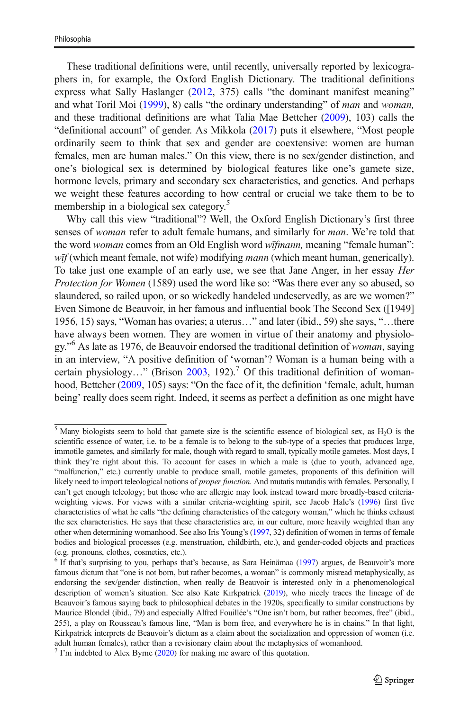These traditional definitions were, until recently, universally reported by lexicographers in, for example, the Oxford English Dictionary. The traditional definitions express what Sally Haslanger [\(2012](#page-18-0), 375) calls "the dominant manifest meaning" and what Toril Moi ([1999](#page-18-0)), 8) calls "the ordinary understanding" of man and woman, and these traditional definitions are what Talia Mae Bettcher [\(2009\)](#page-18-0), 103) calls the "definitional account" of gender. As Mikkola ([2017](#page-18-0)) puts it elsewhere, "Most people ordinarily seem to think that sex and gender are coextensive: women are human females, men are human males." On this view, there is no sex/gender distinction, and one's biological sex is determined by biological features like one's gamete size, hormone levels, primary and secondary sex characteristics, and genetics. And perhaps we weight these features according to how central or crucial we take them to be to membership in a biological sex category.<sup>5</sup>

Why call this view "traditional"? Well, the Oxford English Dictionary's first three senses of woman refer to adult female humans, and similarly for man. We're told that the word *woman* comes from an Old English word *wifmann*, meaning "female human":  $w\bar{t}$  (which meant female, not wife) modifying *mann* (which meant human, generically). To take just one example of an early use, we see that Jane Anger, in her essay Her Protection for Women (1589) used the word like so: "Was there ever any so abused, so slaundered, so railed upon, or so wickedly handeled undeservedly, as are we women?" Even Simone de Beauvoir, in her famous and influential book The Second Sex ([1949] 1956, 15) says, "Woman has ovaries; a uterus…" and later (ibid., 59) she says, "…there have always been women. They are women in virtue of their anatomy and physiology."<sup>6</sup> As late as 1976, de Beauvoir endorsed the traditional definition of woman, saying in an interview, "A positive definition of 'woman'? Woman is a human being with a certain physiology..." (Brison [2003](#page-18-0), 192).<sup>7</sup> Of this traditional definition of woman-hood, Bettcher [\(2009,](#page-18-0) 105) says: "On the face of it, the definition 'female, adult, human being' really does seem right. Indeed, it seems as perfect a definition as one might have

 $<sup>5</sup>$  Many biologists seem to hold that gamete size is the scientific essence of biological sex, as H<sub>2</sub>O is the</sup> scientific essence of water, i.e. to be a female is to belong to the sub-type of a species that produces large, immotile gametes, and similarly for male, though with regard to small, typically motile gametes. Most days, I think they're right about this. To account for cases in which a male is (due to youth, advanced age, "malfunction," etc.) currently unable to produce small, motile gametes, proponents of this definition will likely need to import teleological notions of *proper function*. And mutatis mutandis with females. Personally, I can't get enough teleology; but those who are allergic may look instead toward more broadly-based criteriaweighting views. For views with a similar criteria-weighting spirit, see Jacob Hale's [\(1996\)](#page-18-0) first five characteristics of what he calls "the defining characteristics of the category woman," which he thinks exhaust the sex characteristics. He says that these characteristics are, in our culture, more heavily weighted than any other when determining womanhood. See also Iris Young's ([1997](#page-19-0), 32) definition of women in terms of female bodies and biological processes (e.g. menstruation, childbirth, etc.), and gender-coded objects and practices (e.g. pronouns, clothes, cosmetics, etc.).

 $6$  If that's surprising to you, perhaps that's because, as Sara Heinämaa [\(1997\)](#page-18-0) argues, de Beauvoir's more famous dictum that "one is not born, but rather becomes, a woman" is commonly misread metaphysically, as endorsing the sex/gender distinction, when really de Beauvoir is interested only in a phenomenological description of women's situation. See also Kate Kirkpatrick ([2019](#page-18-0)), who nicely traces the lineage of de Beauvoir's famous saying back to philosophical debates in the 1920s, specifically to similar constructions by Maurice Blondel (ibid., 79) and especially Alfred Fouillée's "One isn't born, but rather becomes, free" (ibid., 255), a play on Rousseau's famous line, "Man is born free, and everywhere he is in chains." In that light, Kirkpatrick interprets de Beauvoir's dictum as a claim about the socialization and oppression of women (i.e. adult human females), rather than a revisionary claim about the metaphysics of womanhood.

 $<sup>7</sup>$  I'm indebted to Alex Byrne ([2020](#page-18-0)) for making me aware of this quotation.</sup>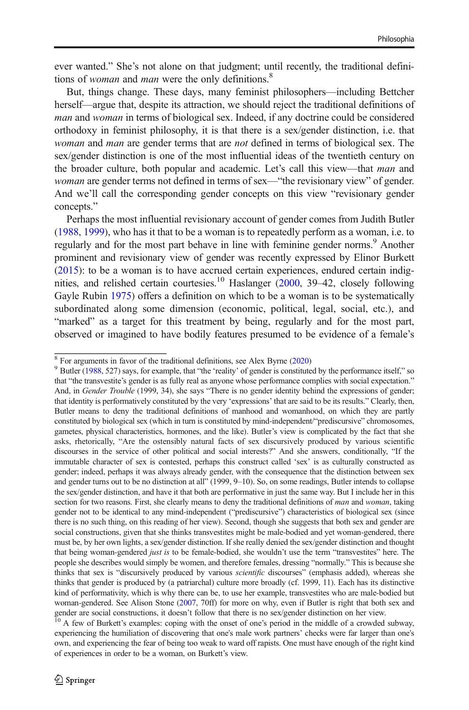ever wanted." She's not alone on that judgment; until recently, the traditional definitions of *woman* and *man* were the only definitions.<sup>8</sup>

But, things change. These days, many feminist philosophers—including Bettcher herself—argue that, despite its attraction, we should reject the traditional definitions of man and woman in terms of biological sex. Indeed, if any doctrine could be considered orthodoxy in feminist philosophy, it is that there is a sex/gender distinction, i.e. that woman and man are gender terms that are not defined in terms of biological sex. The sex/gender distinction is one of the most influential ideas of the twentieth century on the broader culture, both popular and academic. Let's call this view—that man and woman are gender terms not defined in terms of sex—"the revisionary view" of gender. And we'll call the corresponding gender concepts on this view "revisionary gender concepts."

Perhaps the most influential revisionary account of gender comes from Judith Butler [\(1988,](#page-18-0) [1999\)](#page-18-0), who has it that to be a woman is to repeatedly perform as a woman, i.e. to regularly and for the most part behave in line with feminine gender norms.<sup>9</sup> Another prominent and revisionary view of gender was recently expressed by Elinor Burkett [\(2015\)](#page-18-0): to be a woman is to have accrued certain experiences, endured certain indig-nities, and relished certain courtesies.<sup>10</sup> Haslanger [\(2000,](#page-18-0) 39–42, closely following Gayle Rubin [1975](#page-19-0)) offers a definition on which to be a woman is to be systematically subordinated along some dimension (economic, political, legal, social, etc.), and "marked" as a target for this treatment by being, regularly and for the most part, observed or imagined to have bodily features presumed to be evidence of a female's

 $\frac{8}{9}$  For arguments in favor of the traditional definitions, see Alex Byrne [\(2020\)](#page-18-0) 9 Butler ([1988](#page-18-0), 527) says, for example, that "the 'reality' of gender is constituted by the performance itself," so that "the transvestite's gender is as fully real as anyone whose performance complies with social expectation." And, in Gender Trouble (1999, 34), she says "There is no gender identity behind the expressions of gender; that identity is performatively constituted by the very 'expressions' that are said to be its results." Clearly, then, Butler means to deny the traditional definitions of manhood and womanhood, on which they are partly constituted by biological sex (which in turn is constituted by mind-independent/"prediscursive" chromosomes, gametes, physical characteristics, hormones, and the like). Butler's view is complicated by the fact that she asks, rhetorically, "Are the ostensibly natural facts of sex discursively produced by various scientific discourses in the service of other political and social interests?" And she answers, conditionally, "If the immutable character of sex is contested, perhaps this construct called 'sex' is as culturally constructed as gender; indeed, perhaps it was always already gender, with the consequence that the distinction between sex and gender turns out to be no distinction at all" (1999, 9–10). So, on some readings, Butler intends to collapse the sex/gender distinction, and have it that both are performative in just the same way. But I include her in this section for two reasons. First, she clearly means to deny the traditional definitions of man and woman, taking gender not to be identical to any mind-independent ("prediscursive") characteristics of biological sex (since there is no such thing, on this reading of her view). Second, though she suggests that both sex and gender are social constructions, given that she thinks transvestites might be male-bodied and yet woman-gendered, there must be, by her own lights, a sex/gender distinction. If she really denied the sex/gender distinction and thought that being woman-gendered just is to be female-bodied, she wouldn't use the term "transvestites" here. The people she describes would simply be women, and therefore females, dressing "normally." This is because she thinks that sex is "discursively produced by various *scientific* discourses" (emphasis added), whereas she thinks that gender is produced by (a patriarchal) culture more broadly (cf. 1999, 11). Each has its distinctive kind of performativity, which is why there can be, to use her example, transvestites who are male-bodied but woman-gendered. See Alison Stone [\(2007,](#page-19-0) 70ff) for more on why, even if Butler is right that both sex and gender are social constructions, it doesn't follow that there is no sex/gender distinction on her view. <sup>10</sup> A few of Burkett's examples: coping with the onset of one's period in the middle of a crowded subway,

experiencing the humiliation of discovering that one's male work partners' checks were far larger than one's own, and experiencing the fear of being too weak to ward off rapists. One must have enough of the right kind of experiences in order to be a woman, on Burkett's view.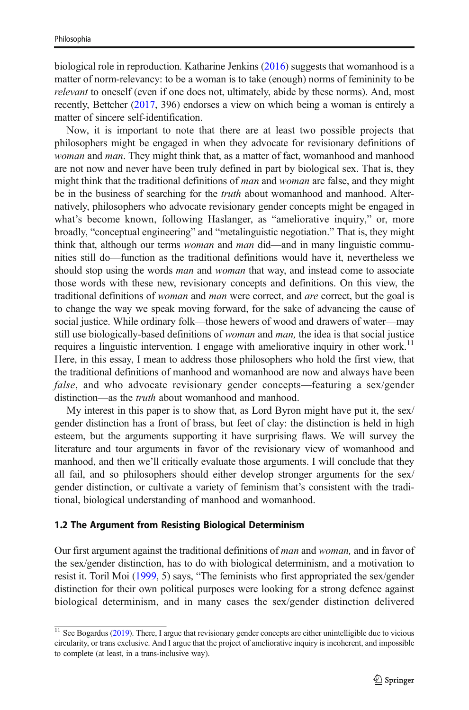biological role in reproduction. Katharine Jenkins ([2016](#page-18-0)) suggests that womanhood is a matter of norm-relevancy: to be a woman is to take (enough) norms of femininity to be relevant to oneself (even if one does not, ultimately, abide by these norms). And, most recently, Bettcher ([2017](#page-18-0), 396) endorses a view on which being a woman is entirely a matter of sincere self-identification.

Now, it is important to note that there are at least two possible projects that philosophers might be engaged in when they advocate for revisionary definitions of woman and man. They might think that, as a matter of fact, womanhood and manhood are not now and never have been truly defined in part by biological sex. That is, they might think that the traditional definitions of *man* and *woman* are false, and they might be in the business of searching for the *truth* about womanhood and manhood. Alternatively, philosophers who advocate revisionary gender concepts might be engaged in what's become known, following Haslanger, as "ameliorative inquiry," or, more broadly, "conceptual engineering" and "metalinguistic negotiation." That is, they might think that, although our terms *woman* and *man* did—and in many linguistic communities still do—function as the traditional definitions would have it, nevertheless we should stop using the words *man* and *woman* that way, and instead come to associate those words with these new, revisionary concepts and definitions. On this view, the traditional definitions of woman and man were correct, and are correct, but the goal is to change the way we speak moving forward, for the sake of advancing the cause of social justice. While ordinary folk—those hewers of wood and drawers of water—may still use biologically-based definitions of *woman* and *man*, the idea is that social justice requires a linguistic intervention. I engage with ameliorative inquiry in other work.<sup>11</sup> Here, in this essay, I mean to address those philosophers who hold the first view, that the traditional definitions of manhood and womanhood are now and always have been false, and who advocate revisionary gender concepts—featuring a sex/gender distinction—as the *truth* about womanhood and manhood.

My interest in this paper is to show that, as Lord Byron might have put it, the sex/ gender distinction has a front of brass, but feet of clay: the distinction is held in high esteem, but the arguments supporting it have surprising flaws. We will survey the literature and tour arguments in favor of the revisionary view of womanhood and manhood, and then we'll critically evaluate those arguments. I will conclude that they all fail, and so philosophers should either develop stronger arguments for the sex/ gender distinction, or cultivate a variety of feminism that's consistent with the traditional, biological understanding of manhood and womanhood.

#### 1.2 The Argument from Resisting Biological Determinism

Our first argument against the traditional definitions of *man* and *woman*, and in favor of the sex/gender distinction, has to do with biological determinism, and a motivation to resist it. Toril Moi [\(1999,](#page-18-0) 5) says, "The feminists who first appropriated the sex/gender distinction for their own political purposes were looking for a strong defence against biological determinism, and in many cases the sex/gender distinction delivered

<sup>&</sup>lt;sup>11</sup> See Bogardus ([2019](#page-18-0)). There, I argue that revisionary gender concepts are either unintelligible due to vicious circularity, or trans exclusive. And I argue that the project of ameliorative inquiry is incoherent, and impossible to complete (at least, in a trans-inclusive way).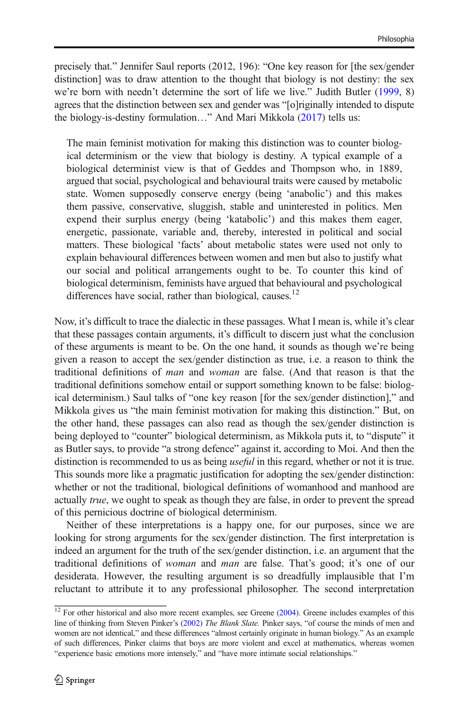precisely that." Jennifer Saul reports (2012, 196): "One key reason for [the sex/gender distinction] was to draw attention to the thought that biology is not destiny: the sex we're born with needn't determine the sort of life we live." Judith Butler ([1999](#page-18-0), 8) agrees that the distinction between sex and gender was "[o]riginally intended to dispute the biology-is-destiny formulation…" And Mari Mikkola [\(2017\)](#page-18-0) tells us:

The main feminist motivation for making this distinction was to counter biological determinism or the view that biology is destiny. A typical example of a biological determinist view is that of Geddes and Thompson who, in 1889, argued that social, psychological and behavioural traits were caused by metabolic state. Women supposedly conserve energy (being 'anabolic') and this makes them passive, conservative, sluggish, stable and uninterested in politics. Men expend their surplus energy (being 'katabolic') and this makes them eager, energetic, passionate, variable and, thereby, interested in political and social matters. These biological 'facts' about metabolic states were used not only to explain behavioural differences between women and men but also to justify what our social and political arrangements ought to be. To counter this kind of biological determinism, feminists have argued that behavioural and psychological differences have social, rather than biological, causes. $^{12}$ 

Now, it's difficult to trace the dialectic in these passages. What I mean is, while it's clear that these passages contain arguments, it's difficult to discern just what the conclusion of these arguments is meant to be. On the one hand, it sounds as though we're being given a reason to accept the sex/gender distinction as true, i.e. a reason to think the traditional definitions of man and woman are false. (And that reason is that the traditional definitions somehow entail or support something known to be false: biological determinism.) Saul talks of "one key reason [for the sex/gender distinction]," and Mikkola gives us "the main feminist motivation for making this distinction." But, on the other hand, these passages can also read as though the sex/gender distinction is being deployed to "counter" biological determinism, as Mikkola puts it, to "dispute" it as Butler says, to provide "a strong defence" against it, according to Moi. And then the distinction is recommended to us as being *useful* in this regard, whether or not it is true. This sounds more like a pragmatic justification for adopting the sex/gender distinction: whether or not the traditional, biological definitions of womanhood and manhood are actually true, we ought to speak as though they are false, in order to prevent the spread of this pernicious doctrine of biological determinism.

Neither of these interpretations is a happy one, for our purposes, since we are looking for strong arguments for the sex/gender distinction. The first interpretation is indeed an argument for the truth of the sex/gender distinction, i.e. an argument that the traditional definitions of woman and man are false. That's good; it's one of our desiderata. However, the resulting argument is so dreadfully implausible that I'm reluctant to attribute it to any professional philosopher. The second interpretation

 $12$  For other historical and also more recent examples, see Greene [\(2004](#page-18-0)). Greene includes examples of this line of thinking from Steven Pinker's ([2002](#page-19-0)) The Blank Slate. Pinker says, "of course the minds of men and women are not identical," and these differences "almost certainly originate in human biology." As an example of such differences, Pinker claims that boys are more violent and excel at mathematics, whereas women "experience basic emotions more intensely," and "have more intimate social relationships."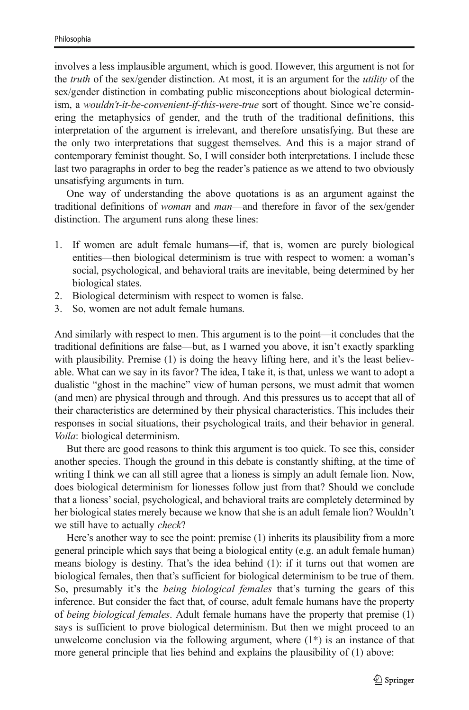involves a less implausible argument, which is good. However, this argument is not for the *truth* of the sex/gender distinction. At most, it is an argument for the *utility* of the sex/gender distinction in combating public misconceptions about biological determinism, a wouldn't-it-be-convenient-if-this-were-true sort of thought. Since we're considering the metaphysics of gender, and the truth of the traditional definitions, this interpretation of the argument is irrelevant, and therefore unsatisfying. But these are the only two interpretations that suggest themselves. And this is a major strand of contemporary feminist thought. So, I will consider both interpretations. I include these last two paragraphs in order to beg the reader's patience as we attend to two obviously unsatisfying arguments in turn.

One way of understanding the above quotations is as an argument against the traditional definitions of woman and man—and therefore in favor of the sex/gender distinction. The argument runs along these lines:

- 1. If women are adult female humans—if, that is, women are purely biological entities—then biological determinism is true with respect to women: a woman's social, psychological, and behavioral traits are inevitable, being determined by her biological states.
- 2. Biological determinism with respect to women is false.
- 3. So, women are not adult female humans.

And similarly with respect to men. This argument is to the point—it concludes that the traditional definitions are false—but, as I warned you above, it isn't exactly sparkling with plausibility. Premise (1) is doing the heavy lifting here, and it's the least believable. What can we say in its favor? The idea, I take it, is that, unless we want to adopt a dualistic "ghost in the machine" view of human persons, we must admit that women (and men) are physical through and through. And this pressures us to accept that all of their characteristics are determined by their physical characteristics. This includes their responses in social situations, their psychological traits, and their behavior in general. Voila: biological determinism.

But there are good reasons to think this argument is too quick. To see this, consider another species. Though the ground in this debate is constantly shifting, at the time of writing I think we can all still agree that a lioness is simply an adult female lion. Now, does biological determinism for lionesses follow just from that? Should we conclude that a lioness'social, psychological, and behavioral traits are completely determined by her biological states merely because we know that she is an adult female lion? Wouldn't we still have to actually *check*?

Here's another way to see the point: premise (1) inherits its plausibility from a more general principle which says that being a biological entity (e.g. an adult female human) means biology is destiny. That's the idea behind (1): if it turns out that women are biological females, then that's sufficient for biological determinism to be true of them. So, presumably it's the *being biological females* that's turning the gears of this inference. But consider the fact that, of course, adult female humans have the property of being biological females. Adult female humans have the property that premise (1) says is sufficient to prove biological determinism. But then we might proceed to an unwelcome conclusion via the following argument, where  $(1^*)$  is an instance of that more general principle that lies behind and explains the plausibility of (1) above: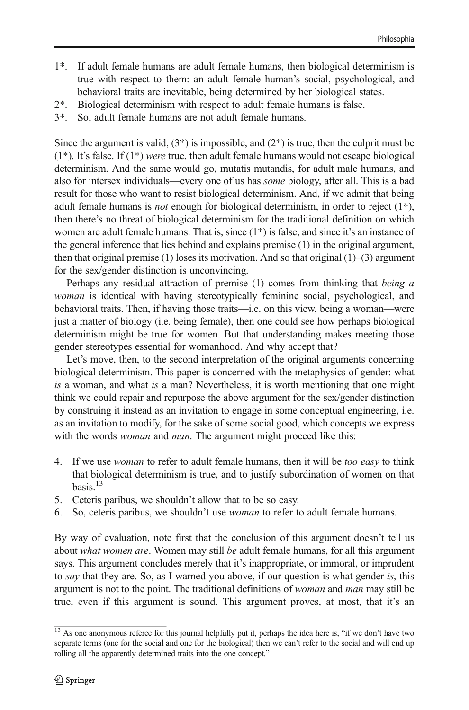- 1\*. If adult female humans are adult female humans, then biological determinism is true with respect to them: an adult female human's social, psychological, and behavioral traits are inevitable, being determined by her biological states.
- 2\*. Biological determinism with respect to adult female humans is false.
- 3\*. So, adult female humans are not adult female humans.

Since the argument is valid,  $(3^*)$  is impossible, and  $(2^*)$  is true, then the culprit must be  $(1^*)$ . It's false. If  $(1^*)$  were true, then adult female humans would not escape biological determinism. And the same would go, mutatis mutandis, for adult male humans, and also for intersex individuals—every one of us has some biology, after all. This is a bad result for those who want to resist biological determinism. And, if we admit that being adult female humans is *not* enough for biological determinism, in order to reject  $(1^*)$ , then there's no threat of biological determinism for the traditional definition on which women are adult female humans. That is, since  $(1^*)$  is false, and since it's an instance of the general inference that lies behind and explains premise (1) in the original argument, then that original premise  $(1)$  loses its motivation. And so that original  $(1)$ – $(3)$  argument for the sex/gender distinction is unconvincing.

Perhaps any residual attraction of premise (1) comes from thinking that being a woman is identical with having stereotypically feminine social, psychological, and behavioral traits. Then, if having those traits—i.e. on this view, being a woman—were just a matter of biology (i.e. being female), then one could see how perhaps biological determinism might be true for women. But that understanding makes meeting those gender stereotypes essential for womanhood. And why accept that?

Let's move, then, to the second interpretation of the original arguments concerning biological determinism. This paper is concerned with the metaphysics of gender: what is a woman, and what is a man? Nevertheless, it is worth mentioning that one might think we could repair and repurpose the above argument for the sex/gender distinction by construing it instead as an invitation to engage in some conceptual engineering, i.e. as an invitation to modify, for the sake of some social good, which concepts we express with the words *woman* and *man*. The argument might proceed like this:

- 4. If we use *woman* to refer to adult female humans, then it will be *too easy* to think that biological determinism is true, and to justify subordination of women on that basis. $13$
- 5. Ceteris paribus, we shouldn't allow that to be so easy.
- 6. So, ceteris paribus, we shouldn't use woman to refer to adult female humans.

By way of evaluation, note first that the conclusion of this argument doesn't tell us about *what women are*. Women may still be adult female humans, for all this argument says. This argument concludes merely that it's inappropriate, or immoral, or imprudent to say that they are. So, as I warned you above, if our question is what gender is, this argument is not to the point. The traditional definitions of *woman* and *man* may still be true, even if this argument is sound. This argument proves, at most, that it's an

 $\frac{13}{13}$  As one anonymous referee for this journal helpfully put it, perhaps the idea here is, "if we don't have two separate terms (one for the social and one for the biological) then we can't refer to the social and will end up rolling all the apparently determined traits into the one concept."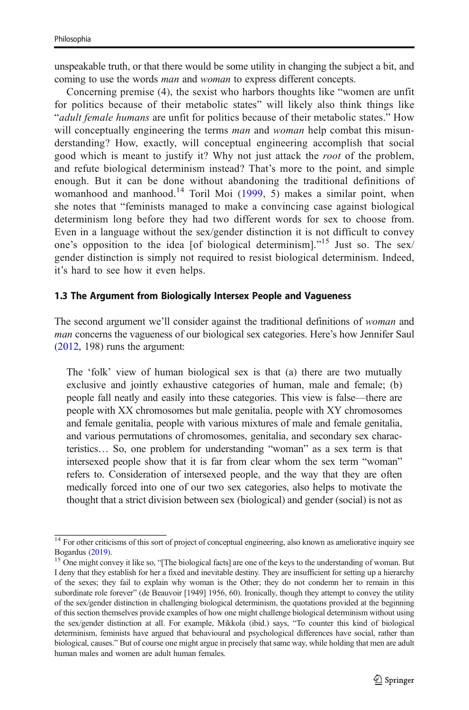unspeakable truth, or that there would be some utility in changing the subject a bit, and coming to use the words *man* and *woman* to express different concepts.

Concerning premise (4), the sexist who harbors thoughts like "women are unfit for politics because of their metabolic states" will likely also think things like "adult female humans are unfit for politics because of their metabolic states." How will conceptually engineering the terms *man* and *woman* help combat this misunderstanding? How, exactly, will conceptual engineering accomplish that social good which is meant to justify it? Why not just attack the root of the problem, and refute biological determinism instead? That's more to the point, and simple enough. But it can be done without abandoning the traditional definitions of womanhood and manhood.<sup>14</sup> Toril Moi [\(1999,](#page-18-0) 5) makes a similar point, when she notes that "feminists managed to make a convincing case against biological determinism long before they had two different words for sex to choose from. Even in a language without the sex/gender distinction it is not difficult to convey one's opposition to the idea [of biological determinism]."<sup>15</sup> Just so. The sex/ gender distinction is simply not required to resist biological determinism. Indeed, it's hard to see how it even helps.

#### 1.3 The Argument from Biologically Intersex People and Vagueness

The second argument we'll consider against the traditional definitions of woman and man concerns the vagueness of our biological sex categories. Here's how Jennifer Saul [\(2012,](#page-19-0) 198) runs the argument:

The 'folk' view of human biological sex is that (a) there are two mutually exclusive and jointly exhaustive categories of human, male and female; (b) people fall neatly and easily into these categories. This view is false—there are people with XX chromosomes but male genitalia, people with XY chromosomes and female genitalia, people with various mixtures of male and female genitalia, and various permutations of chromosomes, genitalia, and secondary sex characteristics… So, one problem for understanding "woman" as a sex term is that intersexed people show that it is far from clear whom the sex term "woman" refers to. Consideration of intersexed people, and the way that they are often medically forced into one of our two sex categories, also helps to motivate the thought that a strict division between sex (biological) and gender (social) is not as

 $\frac{14}{14}$  For other criticisms of this sort of project of conceptual engineering, also known as ameliorative inquiry see<br>Bogardus (2019).

 $15$  One might convey it like so, "[The biological facts] are one of the keys to the understanding of woman. But I deny that they establish for her a fixed and inevitable destiny. They are insufficient for setting up a hierarchy of the sexes; they fail to explain why woman is the Other; they do not condemn her to remain in this subordinate role forever" (de Beauvoir [1949] 1956, 60). Ironically, though they attempt to convey the utility of the sex/gender distinction in challenging biological determinism, the quotations provided at the beginning of this section themselves provide examples of how one might challenge biological determinism without using the sex/gender distinction at all. For example, Mikkola (ibid.) says, "To counter this kind of biological determinism, feminists have argued that behavioural and psychological differences have social, rather than biological, causes." But of course one might argue in precisely that same way, while holding that men are adult human males and women are adult human females.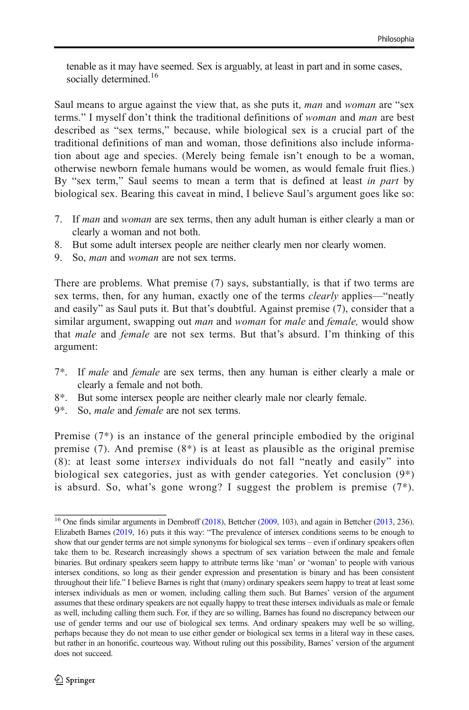tenable as it may have seemed. Sex is arguably, at least in part and in some cases, socially determined.<sup>16</sup>

Saul means to argue against the view that, as she puts it, man and woman are "sex" terms." I myself don't think the traditional definitions of woman and man are best described as "sex terms," because, while biological sex is a crucial part of the traditional definitions of man and woman, those definitions also include information about age and species. (Merely being female isn't enough to be a woman, otherwise newborn female humans would be women, as would female fruit flies.) By "sex term," Saul seems to mean a term that is defined at least in part by biological sex. Bearing this caveat in mind, I believe Saul's argument goes like so:

- 7. If man and woman are sex terms, then any adult human is either clearly a man or clearly a woman and not both.
- 8. But some adult intersex people are neither clearly men nor clearly women.
- 9. So, man and woman are not sex terms.

There are problems. What premise (7) says, substantially, is that if two terms are sex terms, then, for any human, exactly one of the terms *clearly* applies—"neatly and easily" as Saul puts it. But that's doubtful. Against premise (7), consider that a similar argument, swapping out *man* and *woman* for *male* and *female*, would show that male and female are not sex terms. But that's absurd. I'm thinking of this argument:

- 7\*. If male and female are sex terms, then any human is either clearly a male or clearly a female and not both.
- 8\*. But some intersex people are neither clearly male nor clearly female.
- 9\*. So, *male* and *female* are not sex terms.

Premise (7\*) is an instance of the general principle embodied by the original premise  $(7)$ . And premise  $(8^*)$  is at least as plausible as the original premise (8): at least some intersex individuals do not fall "neatly and easily" into biological sex categories, just as with gender categories. Yet conclusion (9\*) is absurd. So, what's gone wrong? I suggest the problem is premise  $(7^*)$ .

<sup>&</sup>lt;sup>16</sup> One finds similar arguments in Dembroff ([2018](#page-18-0)), Bettcher [\(2009,](#page-18-0) 103), and again in Bettcher ([2013](#page-18-0), 236). Elizabeth Barnes ([2019](#page-18-0), 16) puts it this way: "The prevalence of intersex conditions seems to be enough to show that our gender terms are not simple synonyms for biological sex terms – even if ordinary speakers often take them to be. Research increasingly shows a spectrum of sex variation between the male and female binaries. But ordinary speakers seem happy to attribute terms like 'man' or 'woman' to people with various intersex conditions, so long as their gender expression and presentation is binary and has been consistent throughout their life." I believe Barnes is right that (many) ordinary speakers seem happy to treat at least some intersex individuals as men or women, including calling them such. But Barnes' version of the argument assumes that these ordinary speakers are not equally happy to treat these intersex individuals as male or female as well, including calling them such. For, if they are so willing, Barnes has found no discrepancy between our use of gender terms and our use of biological sex terms. And ordinary speakers may well be so willing, perhaps because they do not mean to use either gender or biological sex terms in a literal way in these cases, but rather in an honorific, courteous way. Without ruling out this possibility, Barnes' version of the argument does not succeed.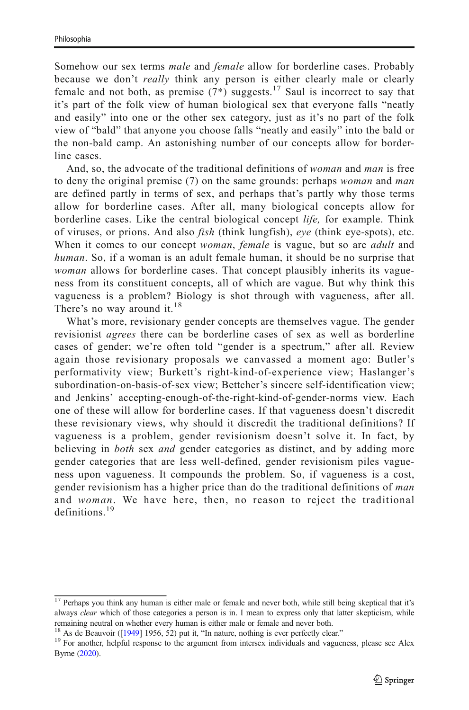Somehow our sex terms male and female allow for borderline cases. Probably because we don't *really* think any person is either clearly male or clearly female and not both, as premise  $(7^*)$  suggests.<sup>17</sup> Saul is incorrect to say that it's part of the folk view of human biological sex that everyone falls "neatly and easily" into one or the other sex category, just as it's no part of the folk view of "bald" that anyone you choose falls "neatly and easily" into the bald or the non-bald camp. An astonishing number of our concepts allow for borderline cases.

And, so, the advocate of the traditional definitions of woman and man is free to deny the original premise (7) on the same grounds: perhaps *woman* and *man* are defined partly in terms of sex, and perhaps that's partly why those terms allow for borderline cases. After all, many biological concepts allow for borderline cases. Like the central biological concept *life*, for example. Think of viruses, or prions. And also fish (think lungfish), eye (think eye-spots), etc. When it comes to our concept *woman*, *female* is vague, but so are *adult* and human. So, if a woman is an adult female human, it should be no surprise that woman allows for borderline cases. That concept plausibly inherits its vagueness from its constituent concepts, all of which are vague. But why think this vagueness is a problem? Biology is shot through with vagueness, after all. There's no way around it. $^{18}$ 

What's more, revisionary gender concepts are themselves vague. The gender revisionist agrees there can be borderline cases of sex as well as borderline cases of gender; we're often told "gender is a spectrum," after all. Review again those revisionary proposals we canvassed a moment ago: Butler's performativity view; Burkett's right-kind-of-experience view; Haslanger's subordination-on-basis-of-sex view; Bettcher's sincere self-identification view; and Jenkins' accepting-enough-of-the-right-kind-of-gender-norms view. Each one of these will allow for borderline cases. If that vagueness doesn't discredit these revisionary views, why should it discredit the traditional definitions? If vagueness is a problem, gender revisionism doesn't solve it. In fact, by believing in *both* sex *and* gender categories as distinct, and by adding more gender categories that are less well-defined, gender revisionism piles vagueness upon vagueness. It compounds the problem. So, if vagueness is a cost, gender revisionism has a higher price than do the traditional definitions of man and woman. We have here, then, no reason to reject the traditional definitions.<sup>19</sup>

<sup>&</sup>lt;sup>17</sup> Perhaps you think any human is either male or female and never both, while still being skeptical that it's always *clear* which of those categories a person is in. I mean to express only that latter skepticism, while remaining neutral on whether every human is either male or female and never both.<br><sup>18</sup> As de Beauvoir ([1949] 1956, 52) put it, "In nature, nothing is ever perfectly clear."

<sup>&</sup>lt;sup>19</sup> For another, helpful response to the argument from intersex individuals and vagueness, please see Alex Byrne ([2020](#page-18-0)).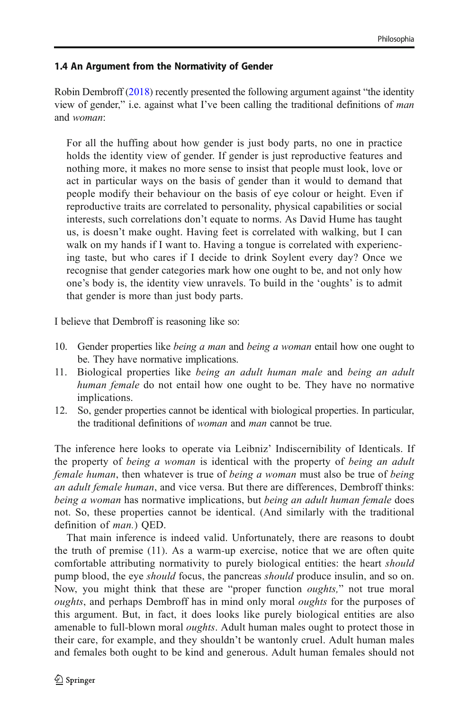## 1.4 An Argument from the Normativity of Gender

Robin Dembroff ([2018](#page-18-0)) recently presented the following argument against "the identity view of gender," i.e. against what I've been calling the traditional definitions of man and woman:

For all the huffing about how gender is just body parts, no one in practice holds the identity view of gender. If gender is just reproductive features and nothing more, it makes no more sense to insist that people must look, love or act in particular ways on the basis of gender than it would to demand that people modify their behaviour on the basis of eye colour or height. Even if reproductive traits are correlated to personality, physical capabilities or social interests, such correlations don't equate to norms. As David Hume has taught us, is doesn't make ought. Having feet is correlated with walking, but I can walk on my hands if I want to. Having a tongue is correlated with experiencing taste, but who cares if I decide to drink Soylent every day? Once we recognise that gender categories mark how one ought to be, and not only how one's body is, the identity view unravels. To build in the 'oughts' is to admit that gender is more than just body parts.

I believe that Dembroff is reasoning like so:

- 10. Gender properties like *being a man* and *being a woman* entail how one ought to be. They have normative implications.
- 11. Biological properties like being an adult human male and being an adult human female do not entail how one ought to be. They have no normative implications.
- 12. So, gender properties cannot be identical with biological properties. In particular, the traditional definitions of woman and man cannot be true.

The inference here looks to operate via Leibniz' Indiscernibility of Identicals. If the property of *being a woman* is identical with the property of *being an adult* female human, then whatever is true of being a woman must also be true of being an adult female human, and vice versa. But there are differences, Dembroff thinks: being a woman has normative implications, but being an adult human female does not. So, these properties cannot be identical. (And similarly with the traditional definition of man.) QED.

That main inference is indeed valid. Unfortunately, there are reasons to doubt the truth of premise (11). As a warm-up exercise, notice that we are often quite comfortable attributing normativity to purely biological entities: the heart should pump blood, the eye *should* focus, the pancreas *should* produce insulin, and so on. Now, you might think that these are "proper function *oughts*," not true moral oughts, and perhaps Dembroff has in mind only moral oughts for the purposes of this argument. But, in fact, it does looks like purely biological entities are also amenable to full-blown moral *oughts*. Adult human males ought to protect those in their care, for example, and they shouldn't be wantonly cruel. Adult human males and females both ought to be kind and generous. Adult human females should not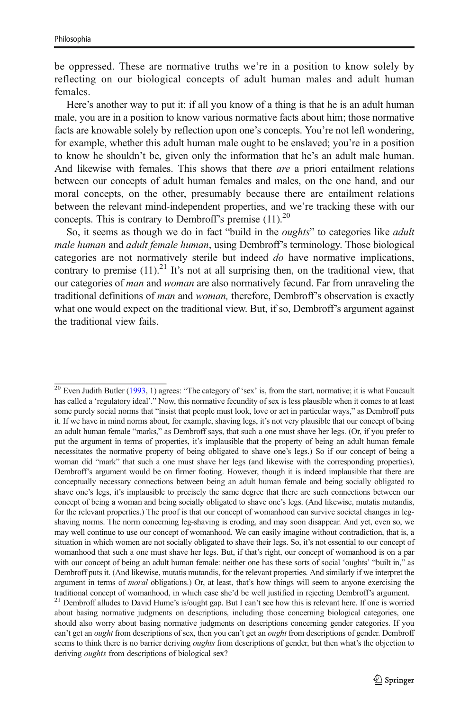be oppressed. These are normative truths we're in a position to know solely by reflecting on our biological concepts of adult human males and adult human females.

Here's another way to put it: if all you know of a thing is that he is an adult human male, you are in a position to know various normative facts about him; those normative facts are knowable solely by reflection upon one's concepts. You're not left wondering, for example, whether this adult human male ought to be enslaved; you're in a position to know he shouldn't be, given only the information that he's an adult male human. And likewise with females. This shows that there are a priori entailment relations between our concepts of adult human females and males, on the one hand, and our moral concepts, on the other, presumably because there are entailment relations between the relevant mind-independent properties, and we're tracking these with our concepts. This is contrary to Dembroff's premise  $(11)^{20}$ .

So, it seems as though we do in fact "build in the *oughts*" to categories like *adult* male human and adult female human, using Dembroff's terminology. Those biological categories are not normatively sterile but indeed do have normative implications, contrary to premise  $(11)^{21}$  It's not at all surprising then, on the traditional view, that our categories of man and woman are also normatively fecund. Far from unraveling the traditional definitions of man and woman, therefore, Dembroff's observation is exactly what one would expect on the traditional view. But, if so, Dembroff's argument against the traditional view fails.

 $\frac{20}{20}$  Even Judith Butler [\(1993,](#page-18-0) 1) agrees: "The category of 'sex' is, from the start, normative; it is what Foucault has called a 'regulatory ideal'." Now, this normative fecundity of sex is less plausible when it comes to at least some purely social norms that "insist that people must look, love or act in particular ways," as Dembroff puts it. If we have in mind norms about, for example, shaving legs, it's not very plausible that our concept of being an adult human female "marks," as Dembroff says, that such a one must shave her legs. (Or, if you prefer to put the argument in terms of properties, it's implausible that the property of being an adult human female necessitates the normative property of being obligated to shave one's legs.) So if our concept of being a woman did "mark" that such a one must shave her legs (and likewise with the corresponding properties), Dembroff's argument would be on firmer footing. However, though it is indeed implausible that there are conceptually necessary connections between being an adult human female and being socially obligated to shave one's legs, it's implausible to precisely the same degree that there are such connections between our concept of being a woman and being socially obligated to shave one's legs. (And likewise, mutatis mutandis, for the relevant properties.) The proof is that our concept of womanhood can survive societal changes in legshaving norms. The norm concerning leg-shaving is eroding, and may soon disappear. And yet, even so, we may well continue to use our concept of womanhood. We can easily imagine without contradiction, that is, a situation in which women are not socially obligated to shave their legs. So, it's not essential to our concept of womanhood that such a one must shave her legs. But, if that's right, our concept of womanhood is on a par with our concept of being an adult human female: neither one has these sorts of social 'oughts' "built in," as Dembroff puts it. (And likewise, mutatis mutandis, for the relevant properties. And similarly if we interpret the argument in terms of *moral* obligations.) Or, at least, that's how things will seem to anyone exercising the traditional concept of womanhood, in which case she'd be well justified in rejecting Dembroff's argument. <sup>21</sup> Dembroff alludes to David Hume's is/ought gap. But I can't see how this is relevant here. If one is worried about basing normative judgments on descriptions, including those concerning biological categories, one should also worry about basing normative judgments on descriptions concerning gender categories. If you can't get an *ought* from descriptions of sex, then you can't get an *ought* from descriptions of gender. Dembroff seems to think there is no barrier deriving *oughts* from descriptions of gender, but then what's the objection to deriving *oughts* from descriptions of biological sex?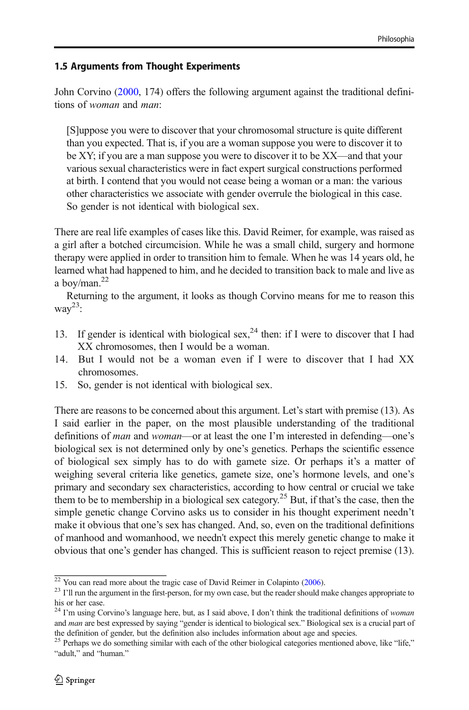## 1.5 Arguments from Thought Experiments

John Corvino [\(2000,](#page-18-0) 174) offers the following argument against the traditional definitions of woman and man:

[S]uppose you were to discover that your chromosomal structure is quite different than you expected. That is, if you are a woman suppose you were to discover it to be XY; if you are a man suppose you were to discover it to be XX—and that your various sexual characteristics were in fact expert surgical constructions performed at birth. I contend that you would not cease being a woman or a man: the various other characteristics we associate with gender overrule the biological in this case. So gender is not identical with biological sex.

There are real life examples of cases like this. David Reimer, for example, was raised as a girl after a botched circumcision. While he was a small child, surgery and hormone therapy were applied in order to transition him to female. When he was 14 years old, he learned what had happened to him, and he decided to transition back to male and live as a boy/man. $^{22}$ 

Returning to the argument, it looks as though Corvino means for me to reason this wa $v^{23}$ :

- 13. If gender is identical with biological sex,  $2^4$  then: if I were to discover that I had XX chromosomes, then I would be a woman.
- 14. But I would not be a woman even if I were to discover that I had XX chromosomes.
- 15. So, gender is not identical with biological sex.

There are reasons to be concerned about this argument. Let's start with premise (13). As I said earlier in the paper, on the most plausible understanding of the traditional definitions of man and woman—or at least the one I'm interested in defending—one's biological sex is not determined only by one's genetics. Perhaps the scientific essence of biological sex simply has to do with gamete size. Or perhaps it's a matter of weighing several criteria like genetics, gamete size, one's hormone levels, and one's primary and secondary sex characteristics, according to how central or crucial we take them to be to membership in a biological sex category.<sup>25</sup> But, if that's the case, then the simple genetic change Corvino asks us to consider in his thought experiment needn't make it obvious that one's sex has changed. And, so, even on the traditional definitions of manhood and womanhood, we needn't expect this merely genetic change to make it obvious that one's gender has changed. This is sufficient reason to reject premise (13).

 $\frac{22}{23}$  You can read more about the tragic case of David Reimer in Colapinto [\(2006\)](#page-18-0).<br><sup>23</sup> I'll run the argument in the first-person, for my own case, but the reader should make changes appropriate to his or her case.

<sup>&</sup>lt;sup>24</sup> I'm using Corvino's language here, but, as I said above, I don't think the traditional definitions of woman and man are best expressed by saying "gender is identical to biological sex." Biological sex is a crucial part of the definition of gender, but the definition also includes information about age and species.

<sup>&</sup>lt;sup>25</sup> Perhaps we do something similar with each of the other biological categories mentioned above, like "life," "adult," and "human."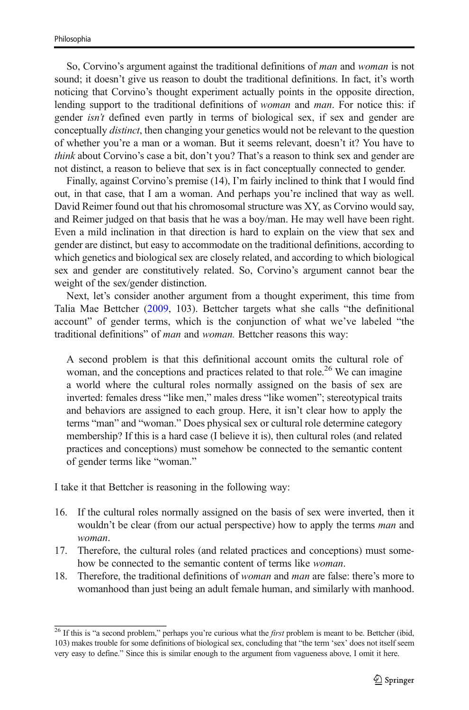So, Corvino's argument against the traditional definitions of man and woman is not sound; it doesn't give us reason to doubt the traditional definitions. In fact, it's worth noticing that Corvino's thought experiment actually points in the opposite direction, lending support to the traditional definitions of woman and man. For notice this: if gender isn't defined even partly in terms of biological sex, if sex and gender are conceptually *distinct*, then changing your genetics would not be relevant to the question of whether you're a man or a woman. But it seems relevant, doesn't it? You have to think about Corvino's case a bit, don't you? That's a reason to think sex and gender are not distinct, a reason to believe that sex is in fact conceptually connected to gender.

Finally, against Corvino's premise (14), I'm fairly inclined to think that I would find out, in that case, that I am a woman. And perhaps you're inclined that way as well. David Reimer found out that his chromosomal structure was XY, as Corvino would say, and Reimer judged on that basis that he was a boy/man. He may well have been right. Even a mild inclination in that direction is hard to explain on the view that sex and gender are distinct, but easy to accommodate on the traditional definitions, according to which genetics and biological sex are closely related, and according to which biological sex and gender are constitutively related. So, Corvino's argument cannot bear the weight of the sex/gender distinction.

Next, let's consider another argument from a thought experiment, this time from Talia Mae Bettcher [\(2009,](#page-18-0) 103). Bettcher targets what she calls "the definitional account" of gender terms, which is the conjunction of what we've labeled "the traditional definitions" of *man* and *woman*. Bettcher reasons this way:

A second problem is that this definitional account omits the cultural role of woman, and the conceptions and practices related to that role.<sup>26</sup> We can imagine a world where the cultural roles normally assigned on the basis of sex are inverted: females dress "like men," males dress "like women"; stereotypical traits and behaviors are assigned to each group. Here, it isn't clear how to apply the terms "man" and "woman." Does physical sex or cultural role determine category membership? If this is a hard case (I believe it is), then cultural roles (and related practices and conceptions) must somehow be connected to the semantic content of gender terms like "woman."

I take it that Bettcher is reasoning in the following way:

- 16. If the cultural roles normally assigned on the basis of sex were inverted, then it wouldn't be clear (from our actual perspective) how to apply the terms *man* and woman.
- 17. Therefore, the cultural roles (and related practices and conceptions) must somehow be connected to the semantic content of terms like woman.
- 18. Therefore, the traditional definitions of *woman* and *man* are false: there's more to womanhood than just being an adult female human, and similarly with manhood.

 $\frac{26}{16}$  If this is "a second problem," perhaps you're curious what the *first* problem is meant to be. Bettcher (ibid, 103) makes trouble for some definitions of biological sex, concluding that "the term 'sex' does not itself seem very easy to define." Since this is similar enough to the argument from vagueness above, I omit it here.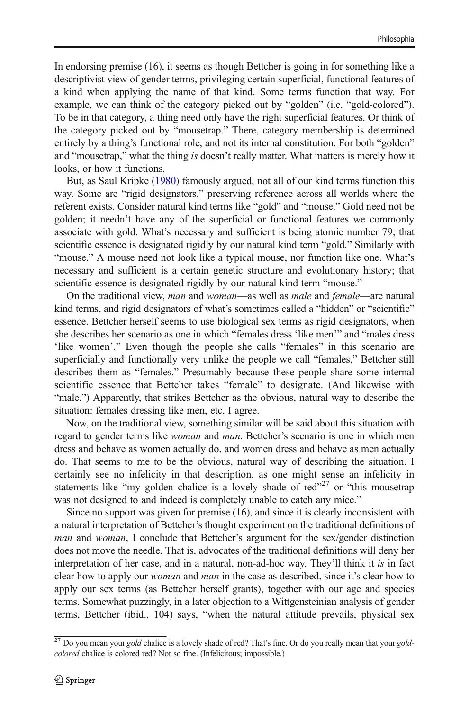In endorsing premise (16), it seems as though Bettcher is going in for something like a descriptivist view of gender terms, privileging certain superficial, functional features of a kind when applying the name of that kind. Some terms function that way. For example, we can think of the category picked out by "golden" (i.e. "gold-colored"). To be in that category, a thing need only have the right superficial features. Or think of the category picked out by "mousetrap." There, category membership is determined entirely by a thing's functional role, and not its internal constitution. For both "golden" and "mousetrap," what the thing is doesn't really matter. What matters is merely how it looks, or how it functions.

But, as Saul Kripke [\(1980\)](#page-18-0) famously argued, not all of our kind terms function this way. Some are "rigid designators," preserving reference across all worlds where the referent exists. Consider natural kind terms like "gold" and "mouse." Gold need not be golden; it needn't have any of the superficial or functional features we commonly associate with gold. What's necessary and sufficient is being atomic number 79; that scientific essence is designated rigidly by our natural kind term "gold." Similarly with "mouse." A mouse need not look like a typical mouse, nor function like one. What's necessary and sufficient is a certain genetic structure and evolutionary history; that scientific essence is designated rigidly by our natural kind term "mouse."

On the traditional view, man and woman—as well as male and female—are natural kind terms, and rigid designators of what's sometimes called a "hidden" or "scientific" essence. Bettcher herself seems to use biological sex terms as rigid designators, when she describes her scenario as one in which "females dress 'like men'" and "males dress 'like women'." Even though the people she calls "females" in this scenario are superficially and functionally very unlike the people we call "females," Bettcher still describes them as "females." Presumably because these people share some internal scientific essence that Bettcher takes "female" to designate. (And likewise with "male.") Apparently, that strikes Bettcher as the obvious, natural way to describe the situation: females dressing like men, etc. I agree.

Now, on the traditional view, something similar will be said about this situation with regard to gender terms like *woman* and *man*. Bettcher's scenario is one in which men dress and behave as women actually do, and women dress and behave as men actually do. That seems to me to be the obvious, natural way of describing the situation. I certainly see no infelicity in that description, as one might sense an infelicity in statements like "my golden chalice is a lovely shade of red"<sup>27</sup> or "this mousetrap was not designed to and indeed is completely unable to catch any mice."

Since no support was given for premise (16), and since it is clearly inconsistent with a natural interpretation of Bettcher's thought experiment on the traditional definitions of man and woman, I conclude that Bettcher's argument for the sex/gender distinction does not move the needle. That is, advocates of the traditional definitions will deny her interpretation of her case, and in a natural, non-ad-hoc way. They'll think it is in fact clear how to apply our *woman* and *man* in the case as described, since it's clear how to apply our sex terms (as Bettcher herself grants), together with our age and species terms. Somewhat puzzingly, in a later objection to a Wittgensteinian analysis of gender terms, Bettcher (ibid., 104) says, "when the natural attitude prevails, physical sex

 $^{27}$  Do you mean your gold chalice is a lovely shade of red? That's fine. Or do you really mean that your goldcolored chalice is colored red? Not so fine. (Infelicitous; impossible.)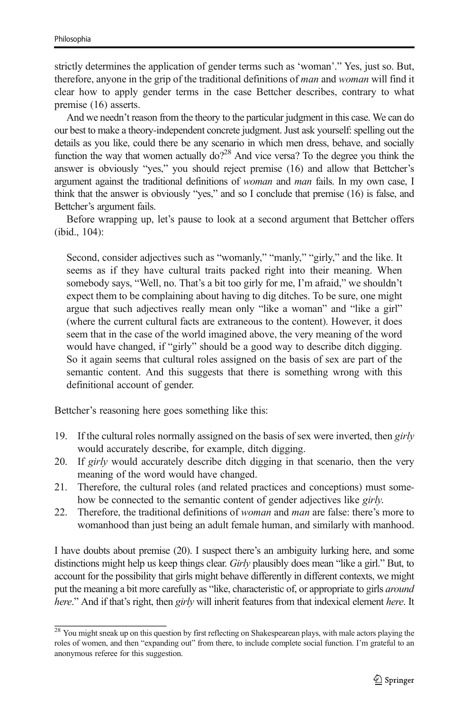strictly determines the application of gender terms such as 'woman'." Yes, just so. But, therefore, anyone in the grip of the traditional definitions of man and woman will find it clear how to apply gender terms in the case Bettcher describes, contrary to what premise (16) asserts.

And we needn't reason from the theory to the particular judgment in this case. We can do our best to make a theory-independent concrete judgment. Just ask yourself: spelling out the details as you like, could there be any scenario in which men dress, behave, and socially function the way that women actually  $d\rho^{28}$  And vice versa? To the degree you think the answer is obviously "yes," you should reject premise (16) and allow that Bettcher's argument against the traditional definitions of *woman* and *man* fails. In my own case, I think that the answer is obviously "yes," and so I conclude that premise (16) is false, and Bettcher's argument fails.

Before wrapping up, let's pause to look at a second argument that Bettcher offers (ibid., 104):

Second, consider adjectives such as "womanly," "manly," "girly," and the like. It seems as if they have cultural traits packed right into their meaning. When somebody says, "Well, no. That's a bit too girly for me, I'm afraid," we shouldn't expect them to be complaining about having to dig ditches. To be sure, one might argue that such adjectives really mean only "like a woman" and "like a girl" (where the current cultural facts are extraneous to the content). However, it does seem that in the case of the world imagined above, the very meaning of the word would have changed, if "girly" should be a good way to describe ditch digging. So it again seems that cultural roles assigned on the basis of sex are part of the semantic content. And this suggests that there is something wrong with this definitional account of gender.

Bettcher's reasoning here goes something like this:

- 19. If the cultural roles normally assigned on the basis of sex were inverted, then girly would accurately describe, for example, ditch digging.
- 20. If girly would accurately describe ditch digging in that scenario, then the very meaning of the word would have changed.
- 21. Therefore, the cultural roles (and related practices and conceptions) must somehow be connected to the semantic content of gender adjectives like girly.
- 22. Therefore, the traditional definitions of woman and man are false: there's more to womanhood than just being an adult female human, and similarly with manhood.

I have doubts about premise (20). I suspect there's an ambiguity lurking here, and some distinctions might help us keep things clear. *Girly* plausibly does mean "like a girl." But, to account for the possibility that girls might behave differently in different contexts, we might put the meaning a bit more carefully as "like, characteristic of, or appropriate to girls around here." And if that's right, then girly will inherit features from that indexical element here. It

 $\frac{28}{28}$  You might sneak up on this question by first reflecting on Shakespearean plays, with male actors playing the roles of women, and then "expanding out" from there, to include complete social function. I'm grateful to an anonymous referee for this suggestion.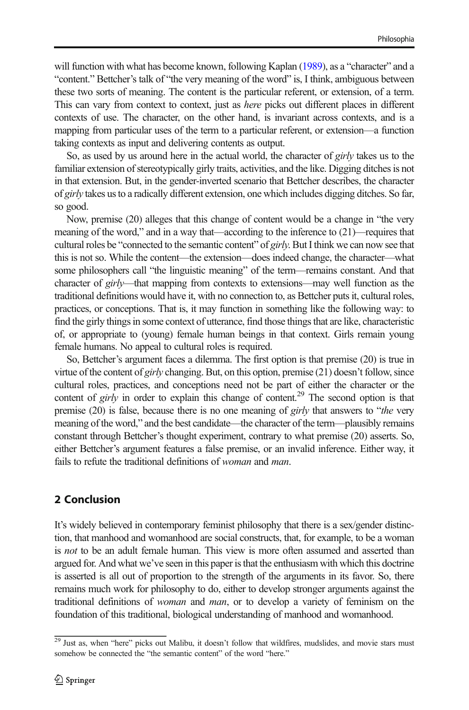will function with what has become known, following Kaplan [\(1989](#page-18-0)), as a "character" and a "content." Bettcher's talk of "the very meaning of the word" is, I think, ambiguous between these two sorts of meaning. The content is the particular referent, or extension, of a term. This can vary from context to context, just as *here* picks out different places in different contexts of use. The character, on the other hand, is invariant across contexts, and is a mapping from particular uses of the term to a particular referent, or extension—a function taking contexts as input and delivering contents as output.

So, as used by us around here in the actual world, the character of *girly* takes us to the familiar extension of stereotypically girly traits, activities, and the like. Digging ditches is not in that extension. But, in the gender-inverted scenario that Bettcher describes, the character of girly takes us to a radically different extension, one which includes digging ditches. So far, so good.

Now, premise (20) alleges that this change of content would be a change in "the very meaning of the word," and in a way that—according to the inference to (21)—requires that cultural roles be "connected to the semantic content" of girly. But I think we can now see that this is not so. While the content—the extension—does indeed change, the character—what some philosophers call "the linguistic meaning" of the term—remains constant. And that character of girly—that mapping from contexts to extensions—may well function as the traditional definitions would have it, with no connection to, as Bettcher puts it, cultural roles, practices, or conceptions. That is, it may function in something like the following way: to find the girly things in some context of utterance, find those things that are like, characteristic of, or appropriate to (young) female human beings in that context. Girls remain young female humans. No appeal to cultural roles is required.

So, Bettcher's argument faces a dilemma. The first option is that premise (20) is true in virtue of the content of girly changing. But, on this option, premise  $(21)$  doesn't follow, since cultural roles, practices, and conceptions need not be part of either the character or the content of girly in order to explain this change of content.<sup>29</sup> The second option is that premise (20) is false, because there is no one meaning of girly that answers to "the very meaning of the word," and the best candidate—the character of the term—plausibly remains constant through Bettcher's thought experiment, contrary to what premise (20) asserts. So, either Bettcher's argument features a false premise, or an invalid inference. Either way, it fails to refute the traditional definitions of *woman* and *man*.

## 2 Conclusion

It's widely believed in contemporary feminist philosophy that there is a sex/gender distinction, that manhood and womanhood are social constructs, that, for example, to be a woman is *not* to be an adult female human. This view is more often assumed and asserted than argued for. And what we've seen in this paper is that the enthusiasm with which this doctrine is asserted is all out of proportion to the strength of the arguments in its favor. So, there remains much work for philosophy to do, either to develop stronger arguments against the traditional definitions of woman and man, or to develop a variety of feminism on the foundation of this traditional, biological understanding of manhood and womanhood.

<sup>&</sup>lt;sup>29</sup> Just as, when "here" picks out Malibu, it doesn't follow that wildfires, mudslides, and movie stars must somehow be connected the "the semantic content" of the word "here."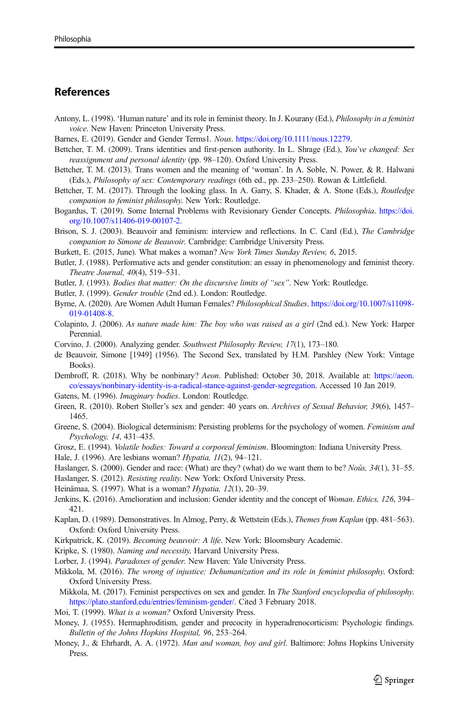#### <span id="page-18-0"></span>References

- Antony, L. (1998). 'Human nature' and its role in feminist theory. In J. Kourany (Ed.), Philosophy in a feminist voice. New Haven: Princeton University Press.
- Barnes, E. (2019). Gender and Gender Terms1. Nous. <https://doi.org/10.1111/nous.12279>.
- Bettcher, T. M. (2009). Trans identities and first-person authority. In L. Shrage (Ed.), You've changed: Sex reassignment and personal identity (pp. 98–120). Oxford University Press.
- Bettcher, T. M. (2013). Trans women and the meaning of 'woman'. In A. Soble, N. Power, & R. Halwani (Eds.), Philosophy of sex: Contemporary readings (6th ed., pp. 233–250). Rowan & Littlefield.
- Bettcher, T. M. (2017). Through the looking glass. In A. Garry, S. Khader, & A. Stone (Eds.), *Routledge* companion to feminist philosophy. New York: Routledge.
- Bogardus, T. (2019). Some Internal Problems with Revisionary Gender Concepts. Philosophia. [https://doi.](https://doi.org/10.1007/s11406-019-00107-2) [org/10.1007/s11406-019-00107-2.](https://doi.org/10.1007/s11406-019-00107-2)
- Brison, S. J. (2003). Beauvoir and feminism: interview and reflections. In C. Card (Ed.), *The Cambridge* companion to Simone de Beauvoir. Cambridge: Cambridge University Press.
- Burkett, E. (2015, June). What makes a woman? New York Times Sunday Review, 6, 2015.
- Butler, J. (1988). Performative acts and gender constitution: an essay in phenomenology and feminist theory. Theatre Journal, 40(4), 519–531.
- Butler, J. (1993). Bodies that matter: On the discursive limits of "sex". New York: Routledge.
- Butler, J. (1999). Gender trouble (2nd ed.). London: Routledge.
- Byrne, A. (2020). Are Women Adult Human Females? Philosophical Studies. [https://doi.org/10.1007/s11098-](https://doi.org/10.1007/s11098-019-01408-8) [019-01408-8.](https://doi.org/10.1007/s11098-019-01408-8)
- Colapinto, J. (2006). As nature made him: The boy who was raised as a girl (2nd ed.). New York: Harper Perennial.
- Corvino, J. (2000). Analyzing gender. Southwest Philosophy Review, 17(1), 173–180.
- de Beauvoir, Simone [1949] (1956). The Second Sex, translated by H.M. Parshley (New York: Vintage Books).
- Dembroff, R. (2018). Why be nonbinary? Aeon. Published: October 30, 2018. Available at: [https://aeon.](https://doi.org/10.1007/s11098-019-01408-8) [co/essays/nonbinary-identity-is-a-radical-stance-against-gender-segregation](https://doi.org/10.1007/s11098-019-01408-8). Accessed 10 Jan 2019.
- Gatens, M. (1996). Imaginary bodies. London: Routledge.
- Green, R. (2010). Robert Stoller's sex and gender: 40 years on. Archives of Sexual Behavior, 39(6), 1457– 1465.
- Greene, S. (2004). Biological determinism: Persisting problems for the psychology of women. Feminism and Psychology, 14, 431–435.
- Grosz, E. (1994). Volatile bodies: Toward a corporeal feminism. Bloomington: Indiana University Press.
- Hale, J. (1996). Are lesbians woman? Hypatia, 11(2), 94–121.
- Haslanger, S. (2000). Gender and race: (What) are they? (what) do we want them to be? *Noûs*,  $34(1)$ ,  $31-55$ .
- Haslanger, S. (2012). Resisting reality. New York: Oxford University Press.
- Heinämaa, S. (1997). What is a woman? Hypatia, 12(1), 20–39.
- Jenkins, K. (2016). Amelioration and inclusion: Gender identity and the concept of Woman. Ethics, 126, 394– 421.
- Kaplan, D. (1989). Demonstratives. In Almog, Perry, & Wettstein (Eds.), Themes from Kaplan (pp. 481–563). Oxford: Oxford University Press.
- Kirkpatrick, K. (2019). Becoming beauvoir: A life. New York: Bloomsbury Academic.
- Kripke, S. (1980). Naming and necessity. Harvard University Press.
- Lorber, J. (1994). Paradoxes of gender. New Haven: Yale University Press.
- Mikkola, M. (2016). The wrong of injustice: Dehumanization and its role in feminist philosophy. Oxford: Oxford University Press.
- Mikkola, M. (2017). Feminist perspectives on sex and gender. In The Stanford encyclopedia of philosophy. [https://plato.stanford.edu/entries/feminism-gender/.](https://doi.org/10.1111/nous.12279) Cited 3 February 2018.
- Moi, T. (1999). What is a woman? Oxford University Press.
- Money, J. (1955). Hermaphroditism, gender and precocity in hyperadrenocorticism: Psychologic findings. Bulletin of the Johns Hopkins Hospital, 96, 253–264.
- Money, J., & Ehrhardt, A. A. (1972). Man and woman, boy and girl. Baltimore: Johns Hopkins University Press.